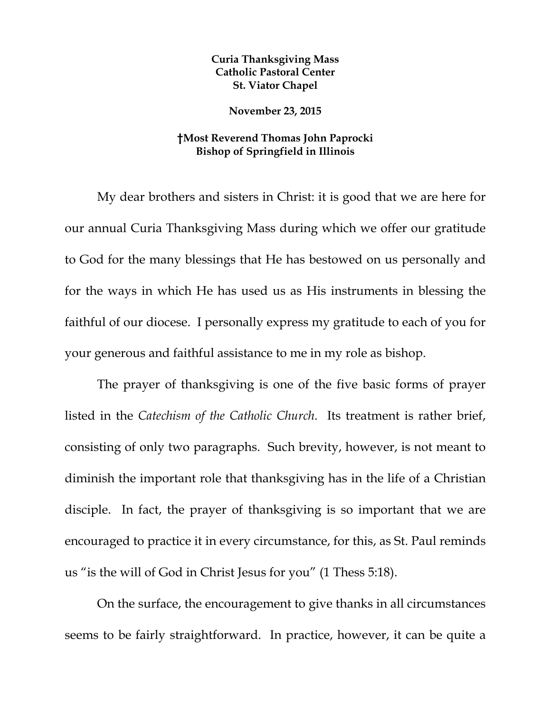## **Curia Thanksgiving Mass Catholic Pastoral Center St. Viator Chapel**

**November 23, 2015** 

## **†Most Reverend Thomas John Paprocki Bishop of Springfield in Illinois**

My dear brothers and sisters in Christ: it is good that we are here for our annual Curia Thanksgiving Mass during which we offer our gratitude to God for the many blessings that He has bestowed on us personally and for the ways in which He has used us as His instruments in blessing the faithful of our diocese. I personally express my gratitude to each of you for your generous and faithful assistance to me in my role as bishop.

The prayer of thanksgiving is one of the five basic forms of prayer listed in the *Catechism of the Catholic Church*. Its treatment is rather brief, consisting of only two paragraphs. Such brevity, however, is not meant to diminish the important role that thanksgiving has in the life of a Christian disciple. In fact, the prayer of thanksgiving is so important that we are encouraged to practice it in every circumstance, for this, as St. Paul reminds us "is the will of God in Christ Jesus for you" (1 Thess 5:18).

On the surface, the encouragement to give thanks in all circumstances seems to be fairly straightforward. In practice, however, it can be quite a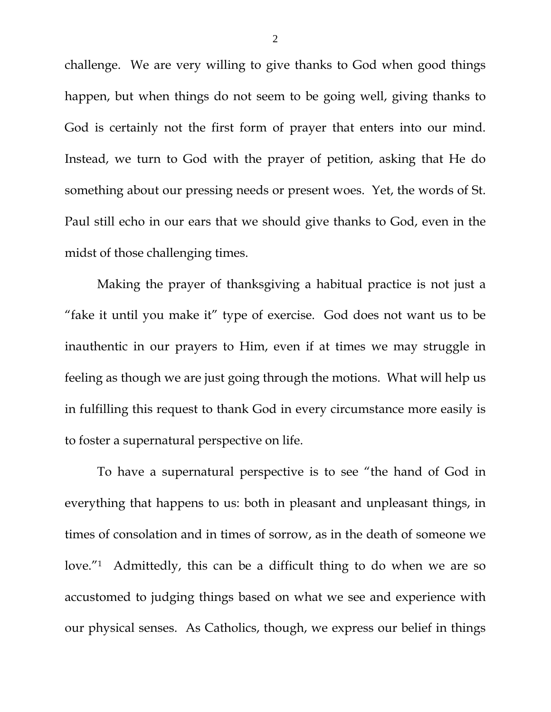challenge. We are very willing to give thanks to God when good things happen, but when things do not seem to be going well, giving thanks to God is certainly not the first form of prayer that enters into our mind. Instead, we turn to God with the prayer of petition, asking that He do something about our pressing needs or present woes. Yet, the words of St. Paul still echo in our ears that we should give thanks to God, even in the midst of those challenging times.

Making the prayer of thanksgiving a habitual practice is not just a "fake it until you make it" type of exercise. God does not want us to be inauthentic in our prayers to Him, even if at times we may struggle in feeling as though we are just going through the motions. What will help us in fulfilling this request to thank God in every circumstance more easily is to foster a supernatural perspective on life.

To have a supernatural perspective is to see "the hand of God in everything that happens to us: both in pleasant and unpleasant things, in times of consolation and in times of sorrow, as in the death of someone we love."1 Admittedly, this can be a difficult thing to do when we are so accustomed to judging things based on what we see and experience with our physical senses. As Catholics, though, we express our belief in things

2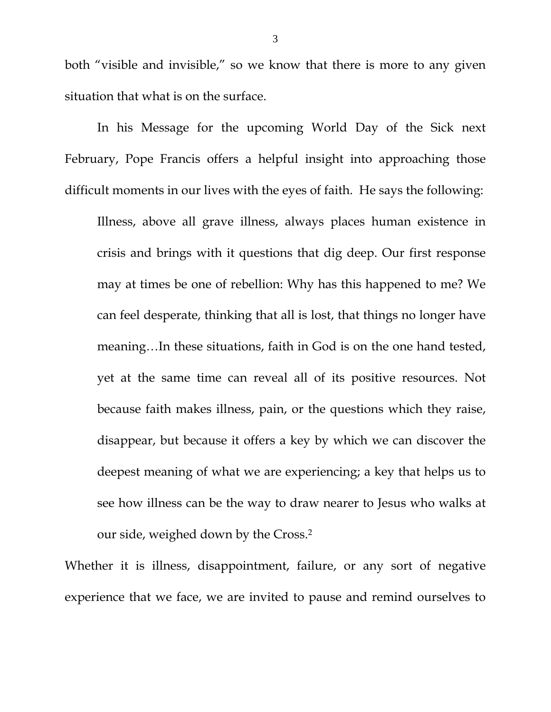both "visible and invisible," so we know that there is more to any given situation that what is on the surface.

 In his Message for the upcoming World Day of the Sick next February, Pope Francis offers a helpful insight into approaching those difficult moments in our lives with the eyes of faith. He says the following:

Illness, above all grave illness, always places human existence in crisis and brings with it questions that dig deep. Our first response may at times be one of rebellion: Why has this happened to me? We can feel desperate, thinking that all is lost, that things no longer have meaning…In these situations, faith in God is on the one hand tested, yet at the same time can reveal all of its positive resources. Not because faith makes illness, pain, or the questions which they raise, disappear, but because it offers a key by which we can discover the deepest meaning of what we are experiencing; a key that helps us to see how illness can be the way to draw nearer to Jesus who walks at our side, weighed down by the Cross.2

Whether it is illness, disappointment, failure, or any sort of negative experience that we face, we are invited to pause and remind ourselves to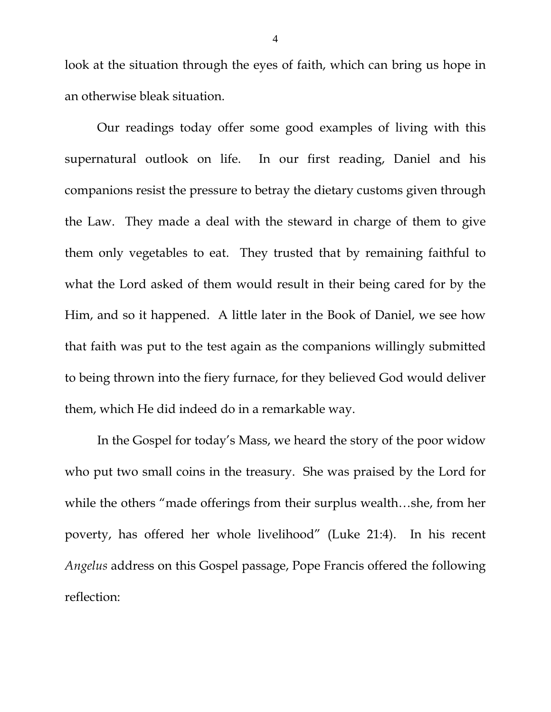look at the situation through the eyes of faith, which can bring us hope in an otherwise bleak situation.

 Our readings today offer some good examples of living with this supernatural outlook on life. In our first reading, Daniel and his companions resist the pressure to betray the dietary customs given through the Law. They made a deal with the steward in charge of them to give them only vegetables to eat. They trusted that by remaining faithful to what the Lord asked of them would result in their being cared for by the Him, and so it happened. A little later in the Book of Daniel, we see how that faith was put to the test again as the companions willingly submitted to being thrown into the fiery furnace, for they believed God would deliver them, which He did indeed do in a remarkable way.

 In the Gospel for today's Mass, we heard the story of the poor widow who put two small coins in the treasury. She was praised by the Lord for while the others "made offerings from their surplus wealth…she, from her poverty, has offered her whole livelihood" (Luke 21:4). In his recent *Angelus* address on this Gospel passage, Pope Francis offered the following reflection: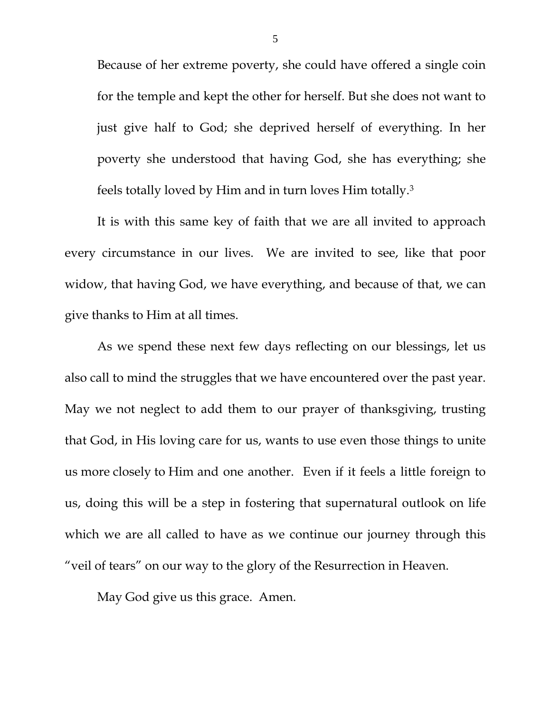Because of her extreme poverty, she could have offered a single coin for the temple and kept the other for herself. But she does not want to just give half to God; she deprived herself of everything. In her poverty she understood that having God, she has everything; she feels totally loved by Him and in turn loves Him totally.3

It is with this same key of faith that we are all invited to approach every circumstance in our lives. We are invited to see, like that poor widow, that having God, we have everything, and because of that, we can give thanks to Him at all times.

As we spend these next few days reflecting on our blessings, let us also call to mind the struggles that we have encountered over the past year. May we not neglect to add them to our prayer of thanksgiving, trusting that God, in His loving care for us, wants to use even those things to unite us more closely to Him and one another. Even if it feels a little foreign to us, doing this will be a step in fostering that supernatural outlook on life which we are all called to have as we continue our journey through this "veil of tears" on our way to the glory of the Resurrection in Heaven.

May God give us this grace. Amen.

5